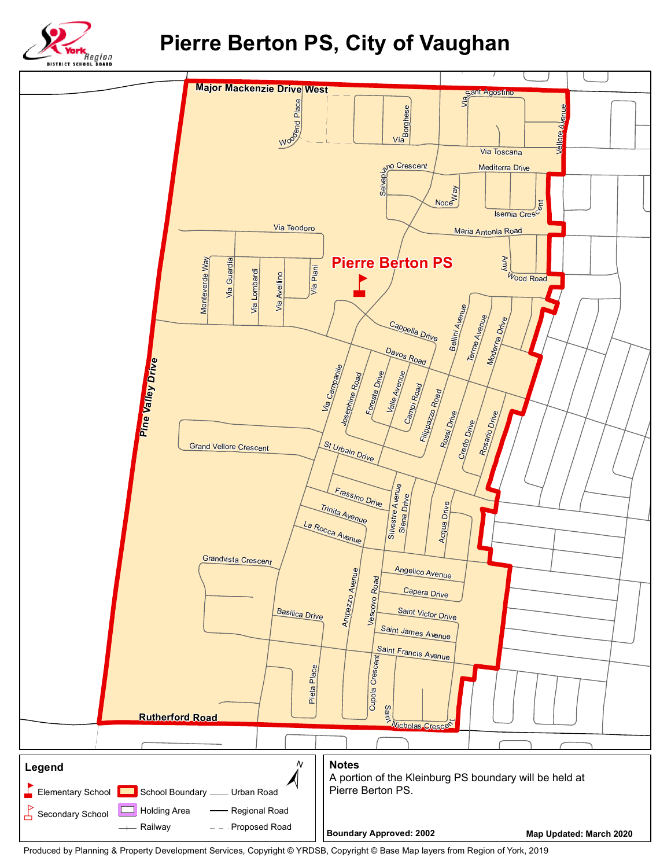

## **Pierre Berton PS, City of Vaughan**